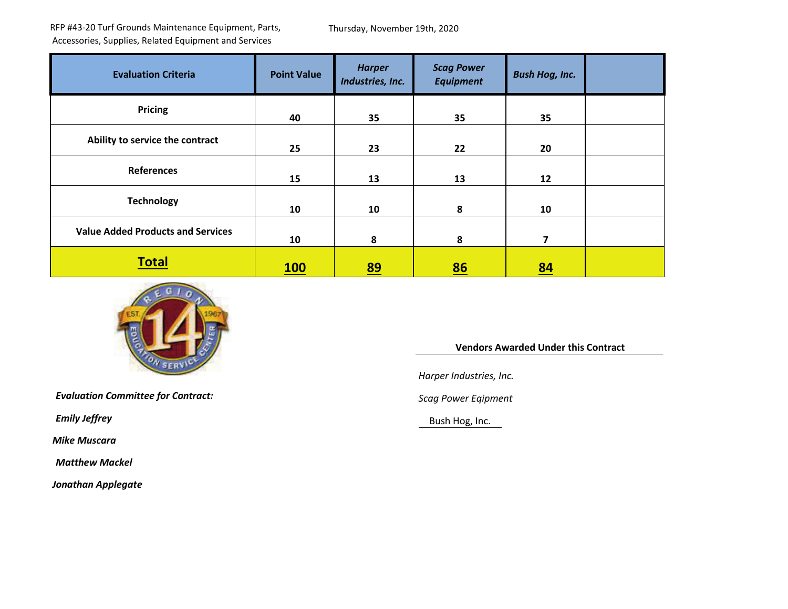RFP #43-20 Turf Grounds Maintenance Equipment, Parts, Accessories, Supplies, Related Equipment and Services

Thursday, November 19th, 2020

| <b>Evaluation Criteria</b>               | <b>Point Value</b> | <b>Harper</b><br>Industries, Inc. | <b>Scag Power</b><br><b>Equipment</b> | <b>Bush Hog, Inc.</b>   |  |
|------------------------------------------|--------------------|-----------------------------------|---------------------------------------|-------------------------|--|
| <b>Pricing</b>                           | 40                 | 35                                | 35                                    | 35                      |  |
| Ability to service the contract          | 25                 | 23                                | 22                                    | 20                      |  |
| <b>References</b>                        | 15                 | 13                                | 13                                    | 12                      |  |
| <b>Technology</b>                        | 10                 | 10                                | 8                                     | 10                      |  |
| <b>Value Added Products and Services</b> | 10                 | 8                                 | 8                                     | $\overline{\mathbf{z}}$ |  |
| <b>Total</b>                             | <b>100</b>         | <u>89</u>                         | 86                                    | 84                      |  |



*Evaluation Committee for Contract: Scag Power Eqipment*

*Mike Muscara*

*Matthew Mackel*

*Jonathan Applegate*

 **Vendors Awarded Under this Contract** 

*Harper Industries, Inc.*

**Emily Jeffrey** Bush Hog, Inc.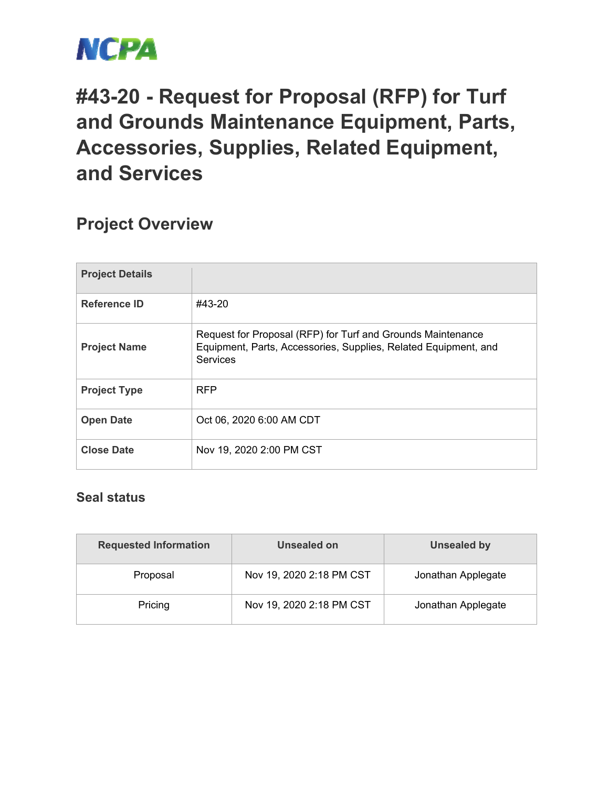

## **#43-20 - Request for Proposal (RFP) for Turf and Grounds Maintenance Equipment, Parts, Accessories, Supplies, Related Equipment, and Services**

## **Project Overview**

| <b>Project Details</b> |                                                                                                                                            |
|------------------------|--------------------------------------------------------------------------------------------------------------------------------------------|
| Reference ID           | #43-20                                                                                                                                     |
| <b>Project Name</b>    | Request for Proposal (RFP) for Turf and Grounds Maintenance<br>Equipment, Parts, Accessories, Supplies, Related Equipment, and<br>Services |
| <b>Project Type</b>    | <b>RFP</b>                                                                                                                                 |
| <b>Open Date</b>       | Oct 06, 2020 6:00 AM CDT                                                                                                                   |
| <b>Close Date</b>      | Nov 19, 2020 2:00 PM CST                                                                                                                   |

## **Seal status**

| <b>Requested Information</b> | Unsealed on              | <b>Unsealed by</b> |  |
|------------------------------|--------------------------|--------------------|--|
| Proposal                     | Nov 19, 2020 2:18 PM CST | Jonathan Applegate |  |
| Pricing                      | Nov 19, 2020 2:18 PM CST | Jonathan Applegate |  |